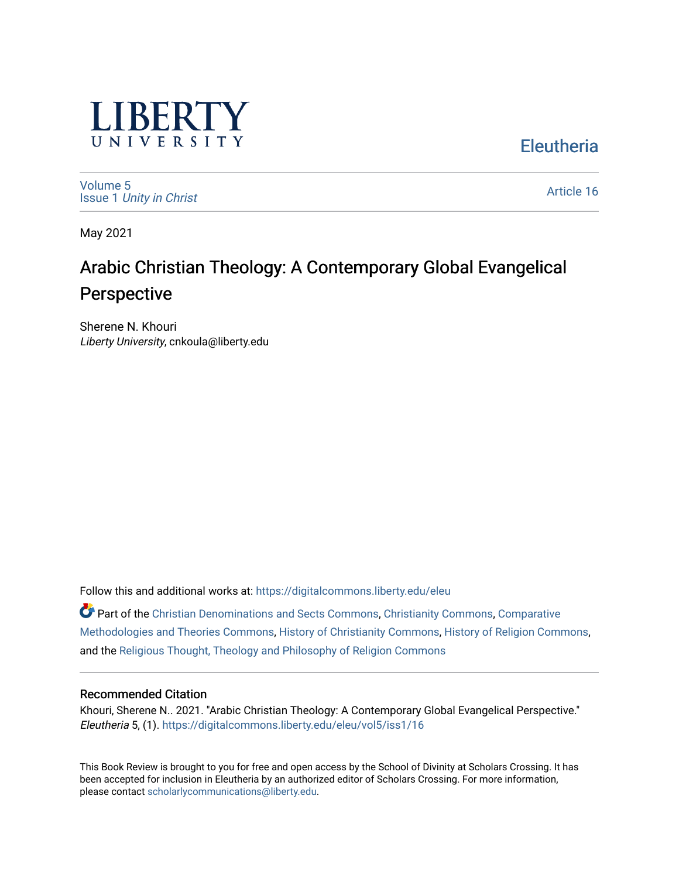

**Eleutheria** 

[Volume 5](https://digitalcommons.liberty.edu/eleu/vol5) Issue 1 [Unity in Christ](https://digitalcommons.liberty.edu/eleu/vol5/iss1) 

[Article 16](https://digitalcommons.liberty.edu/eleu/vol5/iss1/16) 

May 2021

# Arabic Christian Theology: A Contemporary Global Evangelical Perspective

Sherene N. Khouri Liberty University, cnkoula@liberty.edu

Follow this and additional works at: [https://digitalcommons.liberty.edu/eleu](https://digitalcommons.liberty.edu/eleu?utm_source=digitalcommons.liberty.edu%2Feleu%2Fvol5%2Fiss1%2F16&utm_medium=PDF&utm_campaign=PDFCoverPages) 

Part of the [Christian Denominations and Sects Commons,](http://network.bepress.com/hgg/discipline/1184?utm_source=digitalcommons.liberty.edu%2Feleu%2Fvol5%2Fiss1%2F16&utm_medium=PDF&utm_campaign=PDFCoverPages) [Christianity Commons,](http://network.bepress.com/hgg/discipline/1181?utm_source=digitalcommons.liberty.edu%2Feleu%2Fvol5%2Fiss1%2F16&utm_medium=PDF&utm_campaign=PDFCoverPages) [Comparative](http://network.bepress.com/hgg/discipline/540?utm_source=digitalcommons.liberty.edu%2Feleu%2Fvol5%2Fiss1%2F16&utm_medium=PDF&utm_campaign=PDFCoverPages)  [Methodologies and Theories Commons](http://network.bepress.com/hgg/discipline/540?utm_source=digitalcommons.liberty.edu%2Feleu%2Fvol5%2Fiss1%2F16&utm_medium=PDF&utm_campaign=PDFCoverPages), [History of Christianity Commons](http://network.bepress.com/hgg/discipline/1182?utm_source=digitalcommons.liberty.edu%2Feleu%2Fvol5%2Fiss1%2F16&utm_medium=PDF&utm_campaign=PDFCoverPages), [History of Religion Commons,](http://network.bepress.com/hgg/discipline/499?utm_source=digitalcommons.liberty.edu%2Feleu%2Fvol5%2Fiss1%2F16&utm_medium=PDF&utm_campaign=PDFCoverPages) and the [Religious Thought, Theology and Philosophy of Religion Commons](http://network.bepress.com/hgg/discipline/544?utm_source=digitalcommons.liberty.edu%2Feleu%2Fvol5%2Fiss1%2F16&utm_medium=PDF&utm_campaign=PDFCoverPages)

### Recommended Citation

Khouri, Sherene N.. 2021. "Arabic Christian Theology: A Contemporary Global Evangelical Perspective." Eleutheria 5, (1). [https://digitalcommons.liberty.edu/eleu/vol5/iss1/16](https://digitalcommons.liberty.edu/eleu/vol5/iss1/16?utm_source=digitalcommons.liberty.edu%2Feleu%2Fvol5%2Fiss1%2F16&utm_medium=PDF&utm_campaign=PDFCoverPages) 

This Book Review is brought to you for free and open access by the School of Divinity at Scholars Crossing. It has been accepted for inclusion in Eleutheria by an authorized editor of Scholars Crossing. For more information, please contact [scholarlycommunications@liberty.edu.](mailto:scholarlycommunications@liberty.edu)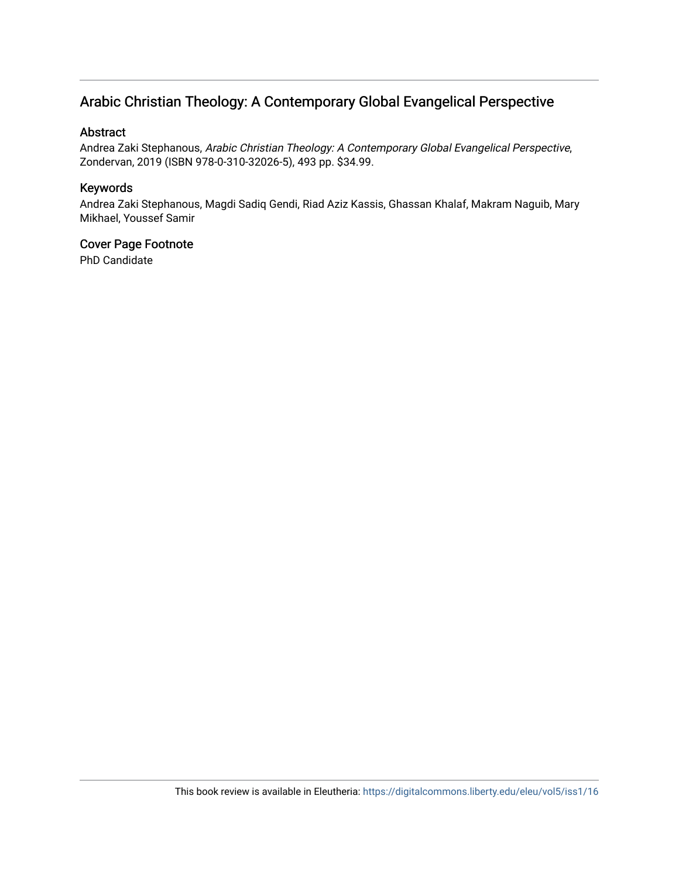## Arabic Christian Theology: A Contemporary Global Evangelical Perspective

### Abstract

Andrea Zaki Stephanous, Arabic Christian Theology: A Contemporary Global Evangelical Perspective, Zondervan, 2019 (ISBN 978-0-310-32026-5), 493 pp. \$34.99.

### Keywords

Andrea Zaki Stephanous, Magdi Sadiq Gendi, Riad Aziz Kassis, Ghassan Khalaf, Makram Naguib, Mary Mikhael, Youssef Samir

# Cover Page Footnote

PhD Candidate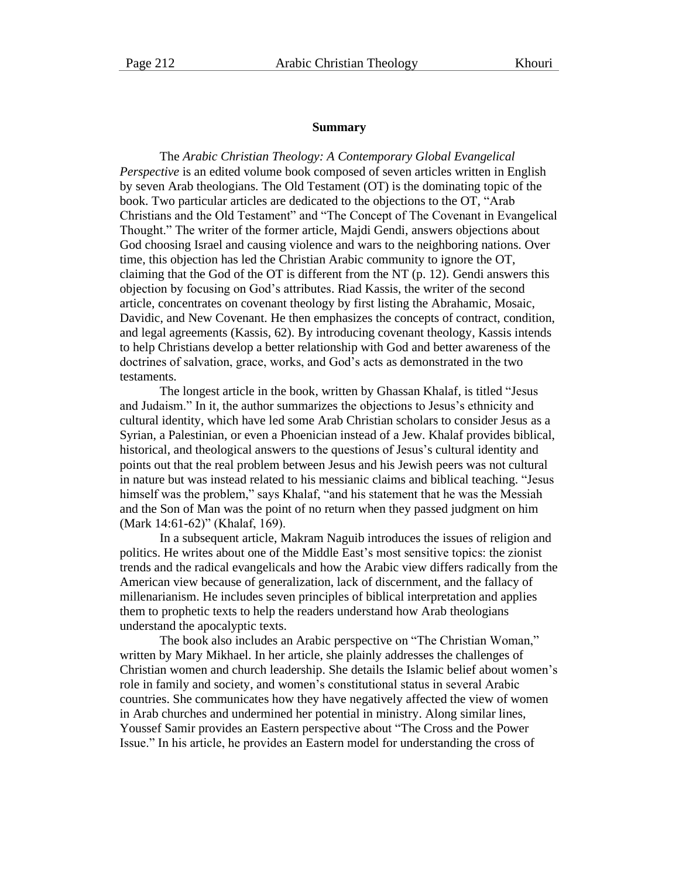#### **Summary**

The *Arabic Christian Theology: A Contemporary Global Evangelical Perspective* is an edited volume book composed of seven articles written in English by seven Arab theologians. The Old Testament (OT) is the dominating topic of the book. Two particular articles are dedicated to the objections to the OT, "Arab Christians and the Old Testament" and "The Concept of The Covenant in Evangelical Thought." The writer of the former article, Majdi Gendi, answers objections about God choosing Israel and causing violence and wars to the neighboring nations. Over time, this objection has led the Christian Arabic community to ignore the OT, claiming that the God of the OT is different from the NT (p. 12). Gendi answers this objection by focusing on God's attributes. Riad Kassis, the writer of the second article, concentrates on covenant theology by first listing the Abrahamic, Mosaic, Davidic, and New Covenant. He then emphasizes the concepts of contract, condition, and legal agreements (Kassis, 62). By introducing covenant theology, Kassis intends to help Christians develop a better relationship with God and better awareness of the doctrines of salvation, grace, works, and God's acts as demonstrated in the two testaments.

The longest article in the book, written by Ghassan Khalaf, is titled "Jesus and Judaism." In it, the author summarizes the objections to Jesus's ethnicity and cultural identity, which have led some Arab Christian scholars to consider Jesus as a Syrian, a Palestinian, or even a Phoenician instead of a Jew. Khalaf provides biblical, historical, and theological answers to the questions of Jesus's cultural identity and points out that the real problem between Jesus and his Jewish peers was not cultural in nature but was instead related to his messianic claims and biblical teaching. "Jesus himself was the problem," says Khalaf, "and his statement that he was the Messiah and the Son of Man was the point of no return when they passed judgment on him (Mark 14:61-62)" (Khalaf, 169).

In a subsequent article, Makram Naguib introduces the issues of religion and politics. He writes about one of the Middle East's most sensitive topics: the zionist trends and the radical evangelicals and how the Arabic view differs radically from the American view because of generalization, lack of discernment, and the fallacy of millenarianism. He includes seven principles of biblical interpretation and applies them to prophetic texts to help the readers understand how Arab theologians understand the apocalyptic texts.

The book also includes an Arabic perspective on "The Christian Woman," written by Mary Mikhael. In her article, she plainly addresses the challenges of Christian women and church leadership. She details the Islamic belief about women's role in family and society, and women's constitutional status in several Arabic countries. She communicates how they have negatively affected the view of women in Arab churches and undermined her potential in ministry. Along similar lines, Youssef Samir provides an Eastern perspective about "The Cross and the Power Issue." In his article, he provides an Eastern model for understanding the cross of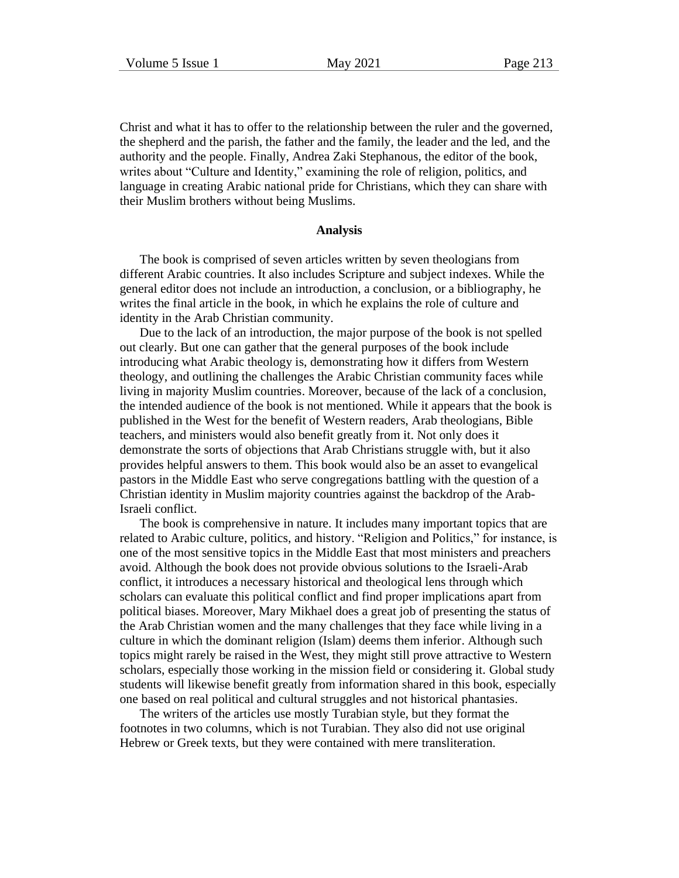Christ and what it has to offer to the relationship between the ruler and the governed, the shepherd and the parish, the father and the family, the leader and the led, and the authority and the people. Finally, Andrea Zaki Stephanous, the editor of the book, writes about "Culture and Identity," examining the role of religion, politics, and language in creating Arabic national pride for Christians, which they can share with their Muslim brothers without being Muslims.

#### **Analysis**

The book is comprised of seven articles written by seven theologians from different Arabic countries. It also includes Scripture and subject indexes. While the general editor does not include an introduction, a conclusion, or a bibliography, he writes the final article in the book, in which he explains the role of culture and identity in the Arab Christian community.

Due to the lack of an introduction, the major purpose of the book is not spelled out clearly. But one can gather that the general purposes of the book include introducing what Arabic theology is, demonstrating how it differs from Western theology, and outlining the challenges the Arabic Christian community faces while living in majority Muslim countries. Moreover, because of the lack of a conclusion, the intended audience of the book is not mentioned. While it appears that the book is published in the West for the benefit of Western readers, Arab theologians, Bible teachers, and ministers would also benefit greatly from it. Not only does it demonstrate the sorts of objections that Arab Christians struggle with, but it also provides helpful answers to them. This book would also be an asset to evangelical pastors in the Middle East who serve congregations battling with the question of a Christian identity in Muslim majority countries against the backdrop of the Arab-Israeli conflict.

The book is comprehensive in nature. It includes many important topics that are related to Arabic culture, politics, and history. "Religion and Politics," for instance, is one of the most sensitive topics in the Middle East that most ministers and preachers avoid. Although the book does not provide obvious solutions to the Israeli-Arab conflict, it introduces a necessary historical and theological lens through which scholars can evaluate this political conflict and find proper implications apart from political biases. Moreover, Mary Mikhael does a great job of presenting the status of the Arab Christian women and the many challenges that they face while living in a culture in which the dominant religion (Islam) deems them inferior. Although such topics might rarely be raised in the West, they might still prove attractive to Western scholars, especially those working in the mission field or considering it. Global study students will likewise benefit greatly from information shared in this book, especially one based on real political and cultural struggles and not historical phantasies.

The writers of the articles use mostly Turabian style, but they format the footnotes in two columns, which is not Turabian. They also did not use original Hebrew or Greek texts, but they were contained with mere transliteration.